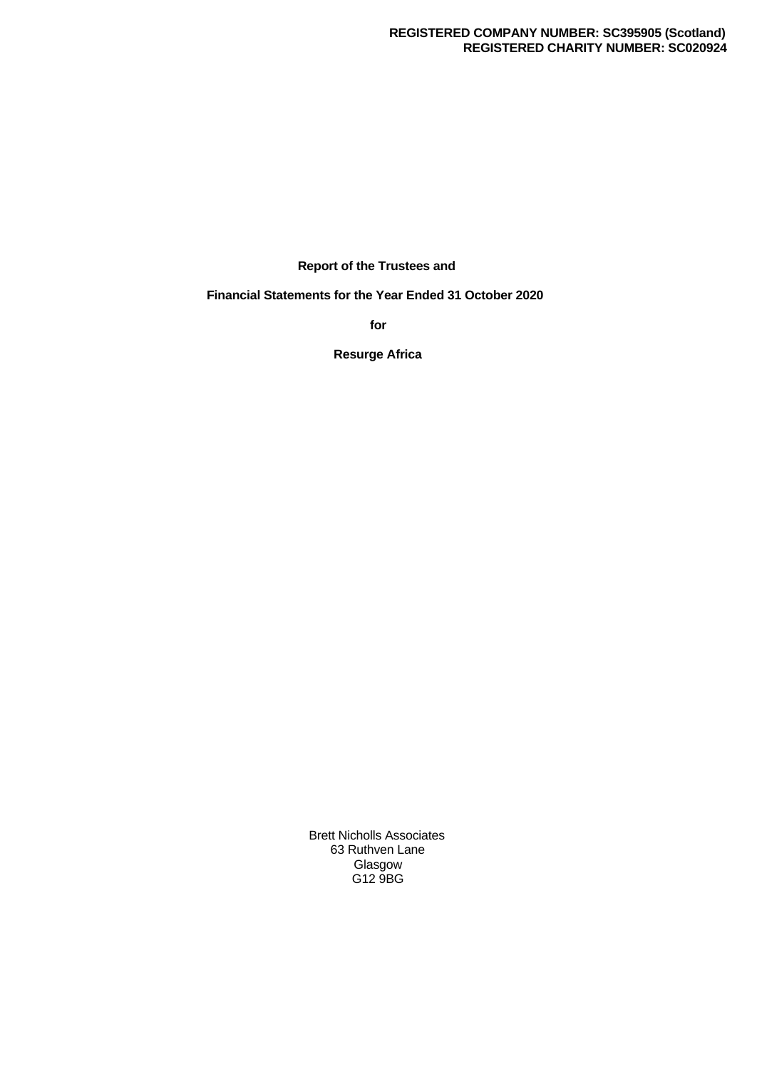### **REGISTERED COMPANY NUMBER: SC395905 (Scotland) REGISTERED CHARITY NUMBER: SC020924**

**Report of the Trustees and**

**Financial Statements for the Year Ended 31 October 2020**

**for**

**Resurge Africa**

Brett Nicholls Associates 63 Ruthven Lane Glasgow G12 9BG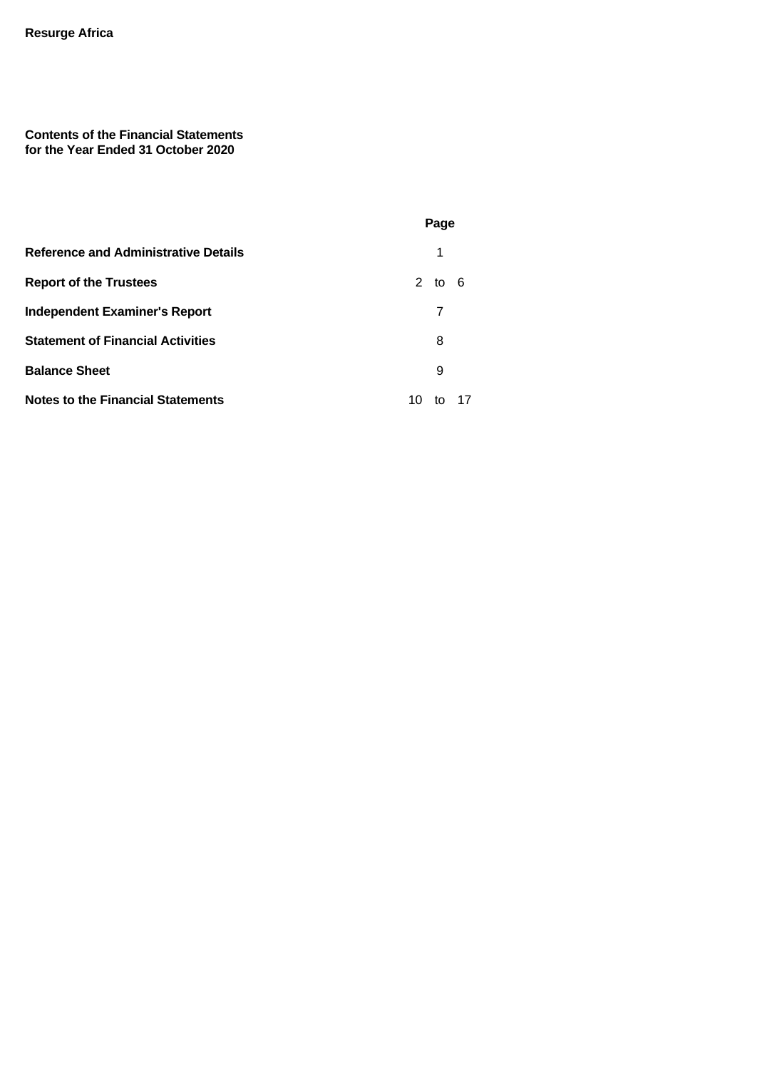# **Contents of the Financial Statements for the Year Ended 31 October 2020**

|                                             | Page           |  |
|---------------------------------------------|----------------|--|
| <b>Reference and Administrative Details</b> | 1              |  |
| <b>Report of the Trustees</b>               | 2 to 6         |  |
| <b>Independent Examiner's Report</b>        | 7              |  |
| <b>Statement of Financial Activities</b>    | 8              |  |
| <b>Balance Sheet</b>                        | 9              |  |
| <b>Notes to the Financial Statements</b>    | 17<br>10<br>to |  |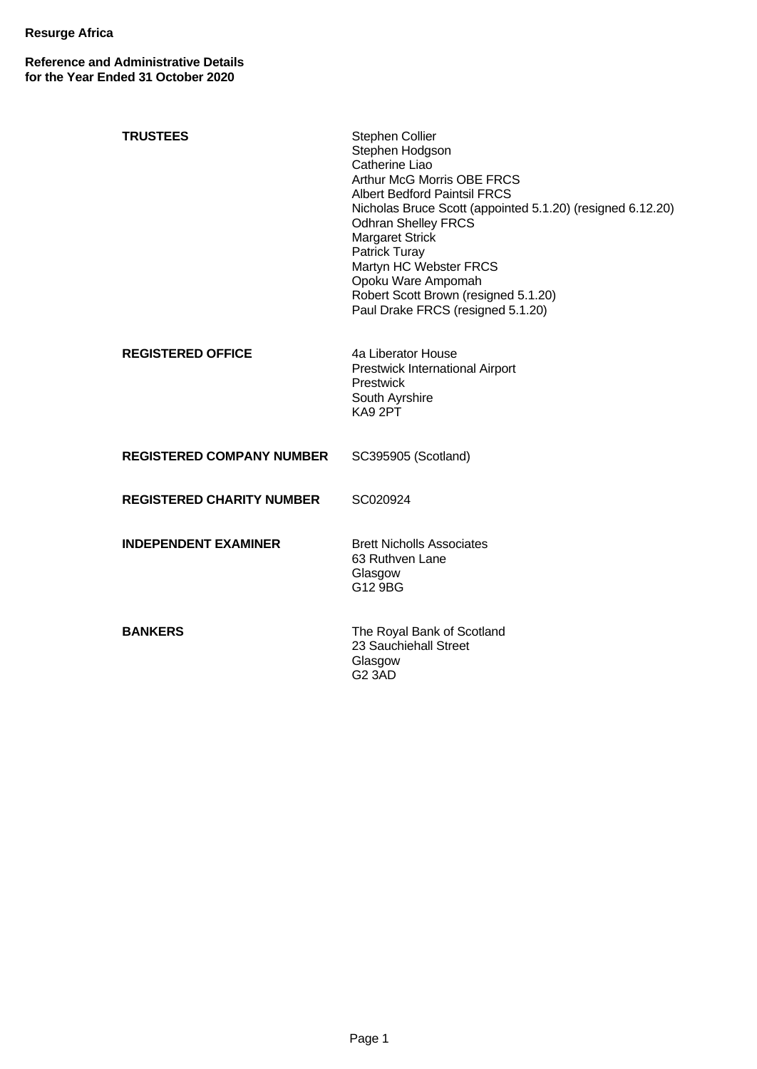**Reference and Administrative Details for the Year Ended 31 October 2020**

| <b>TRUSTEES</b>                  | Stephen Collier<br>Stephen Hodgson<br>Catherine Liao<br><b>Arthur McG Morris OBE FRCS</b><br><b>Albert Bedford Paintsil FRCS</b><br>Nicholas Bruce Scott (appointed 5.1.20) (resigned 6.12.20)<br><b>Odhran Shelley FRCS</b><br><b>Margaret Strick</b><br>Patrick Turay<br>Martyn HC Webster FRCS<br>Opoku Ware Ampomah<br>Robert Scott Brown (resigned 5.1.20)<br>Paul Drake FRCS (resigned 5.1.20) |
|----------------------------------|------------------------------------------------------------------------------------------------------------------------------------------------------------------------------------------------------------------------------------------------------------------------------------------------------------------------------------------------------------------------------------------------------|
| <b>REGISTERED OFFICE</b>         | 4a Liberator House<br>Prestwick International Airport<br>Prestwick<br>South Ayrshire<br>KA9 2PT                                                                                                                                                                                                                                                                                                      |
| <b>REGISTERED COMPANY NUMBER</b> | SC395905 (Scotland)                                                                                                                                                                                                                                                                                                                                                                                  |
| <b>REGISTERED CHARITY NUMBER</b> | SC020924                                                                                                                                                                                                                                                                                                                                                                                             |
| <b>INDEPENDENT EXAMINER</b>      | <b>Brett Nicholls Associates</b><br>63 Ruthven Lane<br>Glasgow<br>G12 9BG                                                                                                                                                                                                                                                                                                                            |
| <b>BANKERS</b>                   | The Royal Bank of Scotland<br>23 Sauchiehall Street<br>Glasgow<br><b>G2 3AD</b>                                                                                                                                                                                                                                                                                                                      |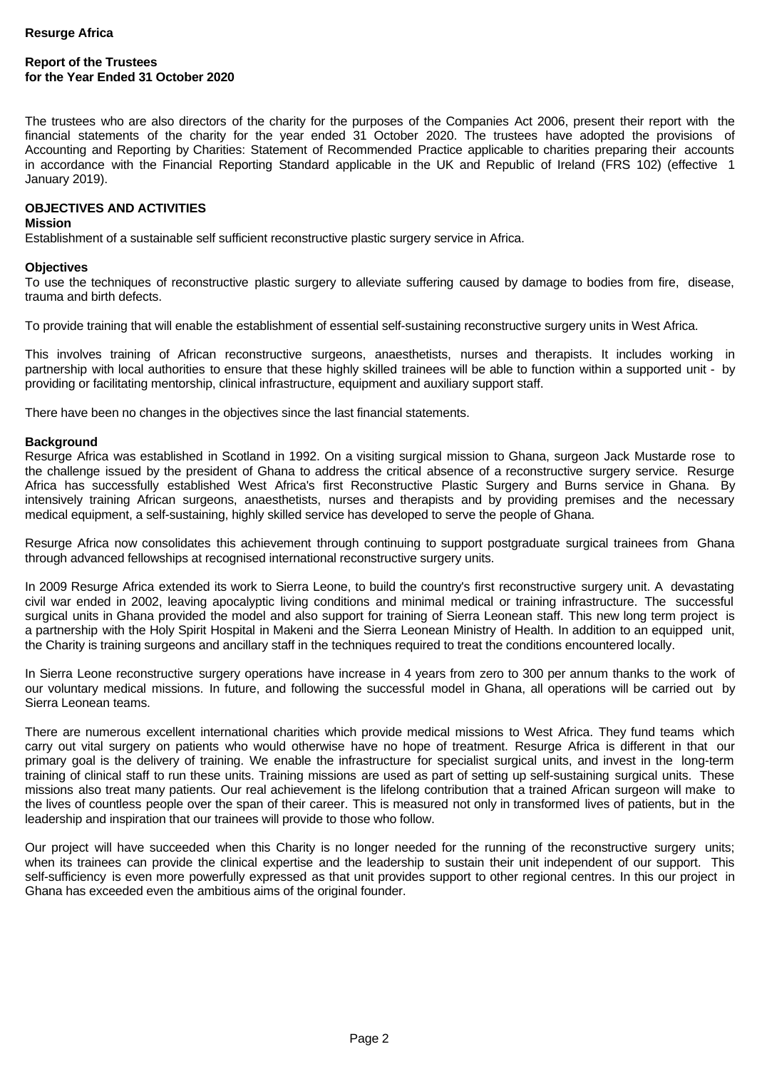# **Report of the Trustees for the Year Ended 31 October 2020**

The trustees who are also directors of the charity for the purposes of the Companies Act 2006, present their report with the financial statements of the charity for the year ended 31 October 2020. The trustees have adopted the provisions of Accounting and Reporting by Charities: Statement of Recommended Practice applicable to charities preparing their accounts in accordance with the Financial Reporting Standard applicable in the UK and Republic of Ireland (FRS 102) (effective 1 January 2019).

#### **OBJECTIVES AND ACTIVITIES**

#### **Mission**

Establishment of a sustainable self sufficient reconstructive plastic surgery service in Africa.

#### **Objectives**

To use the techniques of reconstructive plastic surgery to alleviate suffering caused by damage to bodies from fire, disease, trauma and birth defects.

To provide training that will enable the establishment of essential self-sustaining reconstructive surgery units in West Africa.

This involves training of African reconstructive surgeons, anaesthetists, nurses and therapists. It includes working in partnership with local authorities to ensure that these highly skilled trainees will be able to function within a supported unit - by providing or facilitating mentorship, clinical infrastructure, equipment and auxiliary support staff.

There have been no changes in the objectives since the last financial statements.

#### **Background**

Resurge Africa was established in Scotland in 1992. On a visiting surgical mission to Ghana, surgeon Jack Mustarde rose to the challenge issued by the president of Ghana to address the critical absence of a reconstructive surgery service. Resurge Africa has successfully established West Africa's first Reconstructive Plastic Surgery and Burns service in Ghana. By intensively training African surgeons, anaesthetists, nurses and therapists and by providing premises and the necessary medical equipment, a self-sustaining, highly skilled service has developed to serve the people of Ghana.

Resurge Africa now consolidates this achievement through continuing to support postgraduate surgical trainees from Ghana through advanced fellowships at recognised international reconstructive surgery units.

In 2009 Resurge Africa extended its work to Sierra Leone, to build the country's first reconstructive surgery unit. A devastating civil war ended in 2002, leaving apocalyptic living conditions and minimal medical or training infrastructure. The successful surgical units in Ghana provided the model and also support for training of Sierra Leonean staff. This new long term project is a partnership with the Holy Spirit Hospital in Makeni and the Sierra Leonean Ministry of Health. In addition to an equipped unit, the Charity is training surgeons and ancillary staff in the techniques required to treat the conditions encountered locally.

In Sierra Leone reconstructive surgery operations have increase in 4 years from zero to 300 per annum thanks to the work of our voluntary medical missions. In future, and following the successful model in Ghana, all operations will be carried out by Sierra Leonean teams.

There are numerous excellent international charities which provide medical missions to West Africa. They fund teams which carry out vital surgery on patients who would otherwise have no hope of treatment. Resurge Africa is different in that our primary goal is the delivery of training. We enable the infrastructure for specialist surgical units, and invest in the long-term training of clinical staff to run these units. Training missions are used as part of setting up self-sustaining surgical units. These missions also treat many patients. Our real achievement is the lifelong contribution that a trained African surgeon will make to the lives of countless people over the span of their career. This is measured not only in transformed lives of patients, but in the leadership and inspiration that our trainees will provide to those who follow.

Our project will have succeeded when this Charity is no longer needed for the running of the reconstructive surgery units; when its trainees can provide the clinical expertise and the leadership to sustain their unit independent of our support. This self-sufficiency is even more powerfully expressed as that unit provides support to other regional centres. In this our project in Ghana has exceeded even the ambitious aims of the original founder.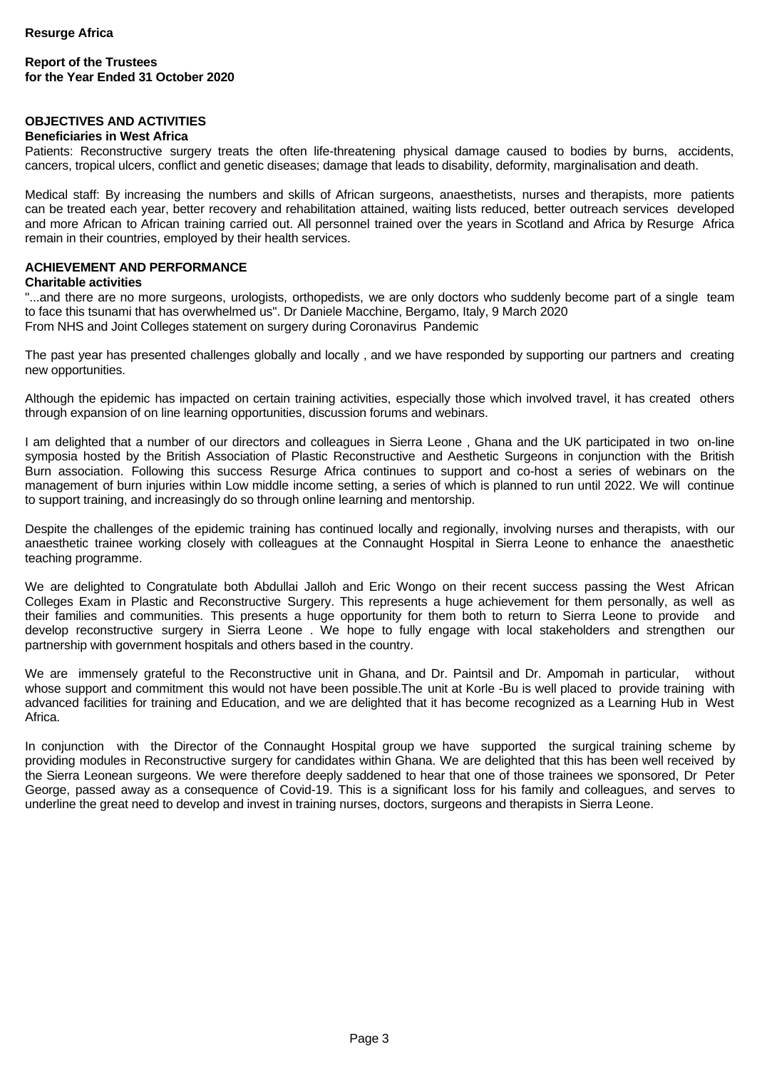# **OBJECTIVES AND ACTIVITIES**

#### **Beneficiaries in West Africa**

Patients: Reconstructive surgery treats the often life-threatening physical damage caused to bodies by burns, accidents, cancers, tropical ulcers, conflict and genetic diseases; damage that leads to disability, deformity, marginalisation and death.

Medical staff: By increasing the numbers and skills of African surgeons, anaesthetists, nurses and therapists, more patients can be treated each year, better recovery and rehabilitation attained, waiting lists reduced, better outreach services developed and more African to African training carried out. All personnel trained over the years in Scotland and Africa by Resurge Africa remain in their countries, employed by their health services.

# **ACHIEVEMENT AND PERFORMANCE**

### **Charitable activities**

"...and there are no more surgeons, urologists, orthopedists, we are only doctors who suddenly become part of a single team to face this tsunami that has overwhelmed us". Dr Daniele Macchine, Bergamo, Italy, 9 March 2020 From NHS and Joint Colleges statement on surgery during Coronavirus Pandemic

The past year has presented challenges globally and locally , and we have responded by supporting our partners and creating new opportunities.

Although the epidemic has impacted on certain training activities, especially those which involved travel, it has created others through expansion of on line learning opportunities, discussion forums and webinars.

I am delighted that a number of our directors and colleagues in Sierra Leone , Ghana and the UK participated in two on-line symposia hosted by the British Association of Plastic Reconstructive and Aesthetic Surgeons in conjunction with the British Burn association. Following this success Resurge Africa continues to support and co-host a series of webinars on the management of burn injuries within Low middle income setting, a series of which is planned to run until 2022. We will continue to support training, and increasingly do so through online learning and mentorship.

Despite the challenges of the epidemic training has continued locally and regionally, involving nurses and therapists, with our anaesthetic trainee working closely with colleagues at the Connaught Hospital in Sierra Leone to enhance the anaesthetic teaching programme.

We are delighted to Congratulate both Abdullai Jalloh and Eric Wongo on their recent success passing the West African Colleges Exam in Plastic and Reconstructive Surgery. This represents a huge achievement for them personally, as well as their families and communities. This presents a huge opportunity for them both to return to Sierra Leone to provide and develop reconstructive surgery in Sierra Leone . We hope to fully engage with local stakeholders and strengthen our partnership with government hospitals and others based in the country.

We are immensely grateful to the Reconstructive unit in Ghana, and Dr. Paintsil and Dr. Ampomah in particular, without whose support and commitment this would not have been possible.The unit at Korle -Bu is well placed to provide training with advanced facilities for training and Education, and we are delighted that it has become recognized as a Learning Hub in West Africa.

In conjunction with the Director of the Connaught Hospital group we have supported the surgical training scheme by providing modules in Reconstructive surgery for candidates within Ghana. We are delighted that this has been well received by the Sierra Leonean surgeons. We were therefore deeply saddened to hear that one of those trainees we sponsored, Dr Peter George, passed away as a consequence of Covid-19. This is a significant loss for his family and colleagues, and serves to underline the great need to develop and invest in training nurses, doctors, surgeons and therapists in Sierra Leone.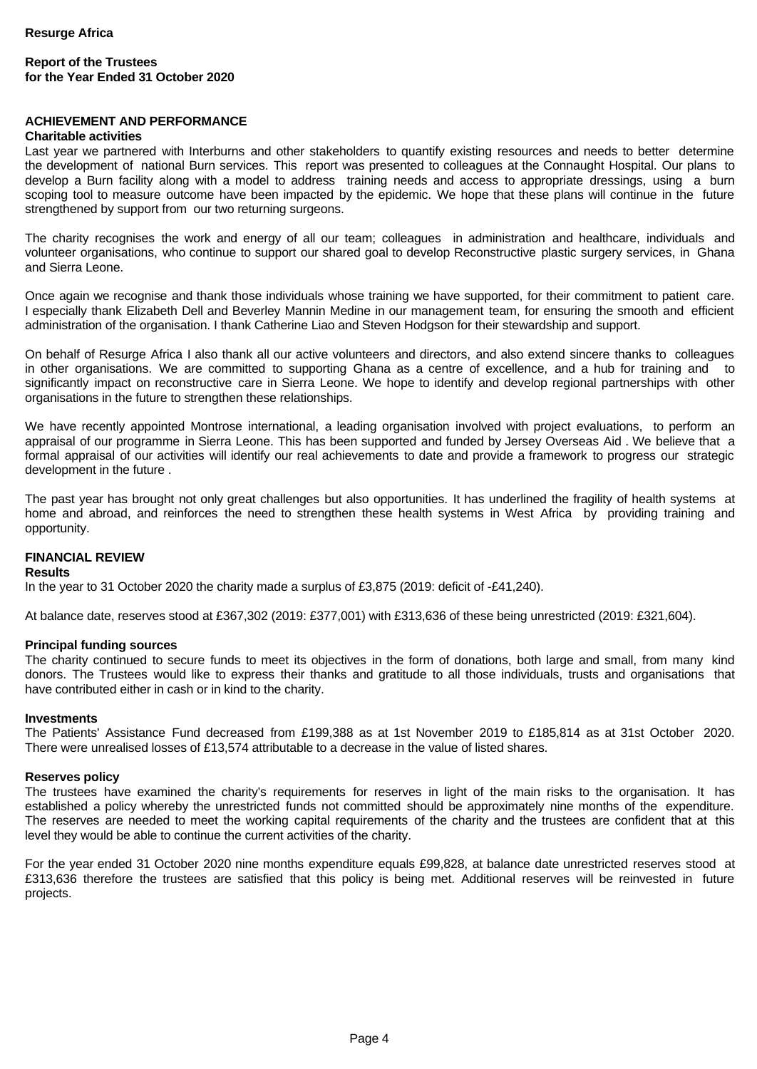### **Report of the Trustees for the Year Ended 31 October 2020**

#### **ACHIEVEMENT AND PERFORMANCE**

#### **Charitable activities**

Last year we partnered with Interburns and other stakeholders to quantify existing resources and needs to better determine the development of national Burn services. This report was presented to colleagues at the Connaught Hospital. Our plans to develop a Burn facility along with a model to address training needs and access to appropriate dressings, using a burn scoping tool to measure outcome have been impacted by the epidemic. We hope that these plans will continue in the future strengthened by support from our two returning surgeons.

The charity recognises the work and energy of all our team; colleagues in administration and healthcare, individuals and volunteer organisations, who continue to support our shared goal to develop Reconstructive plastic surgery services, in Ghana and Sierra Leone.

Once again we recognise and thank those individuals whose training we have supported, for their commitment to patient care. I especially thank Elizabeth Dell and Beverley Mannin Medine in our management team, for ensuring the smooth and efficient administration of the organisation. I thank Catherine Liao and Steven Hodgson for their stewardship and support.

On behalf of Resurge Africa I also thank all our active volunteers and directors, and also extend sincere thanks to colleagues in other organisations. We are committed to supporting Ghana as a centre of excellence, and a hub for training and to significantly impact on reconstructive care in Sierra Leone. We hope to identify and develop regional partnerships with other organisations in the future to strengthen these relationships.

We have recently appointed Montrose international, a leading organisation involved with project evaluations, to perform an appraisal of our programme in Sierra Leone. This has been supported and funded by Jersey Overseas Aid . We believe that a formal appraisal of our activities will identify our real achievements to date and provide a framework to progress our strategic development in the future .

The past year has brought not only great challenges but also opportunities. It has underlined the fragility of health systems at home and abroad, and reinforces the need to strengthen these health systems in West Africa by providing training and opportunity.

# **FINANCIAL REVIEW**

#### **Results**

In the year to 31 October 2020 the charity made a surplus of £3,875 (2019: deficit of -£41,240).

At balance date, reserves stood at £367,302 (2019: £377,001) with £313,636 of these being unrestricted (2019: £321,604).

#### **Principal funding sources**

The charity continued to secure funds to meet its objectives in the form of donations, both large and small, from many kind donors. The Trustees would like to express their thanks and gratitude to all those individuals, trusts and organisations that have contributed either in cash or in kind to the charity.

#### **Investments**

The Patients' Assistance Fund decreased from £199,388 as at 1st November 2019 to £185,814 as at 31st October 2020. There were unrealised losses of £13,574 attributable to a decrease in the value of listed shares.

#### **Reserves policy**

The trustees have examined the charity's requirements for reserves in light of the main risks to the organisation. It has established a policy whereby the unrestricted funds not committed should be approximately nine months of the expenditure. The reserves are needed to meet the working capital requirements of the charity and the trustees are confident that at this level they would be able to continue the current activities of the charity.

For the year ended 31 October 2020 nine months expenditure equals £99,828, at balance date unrestricted reserves stood at £313,636 therefore the trustees are satisfied that this policy is being met. Additional reserves will be reinvested in future projects.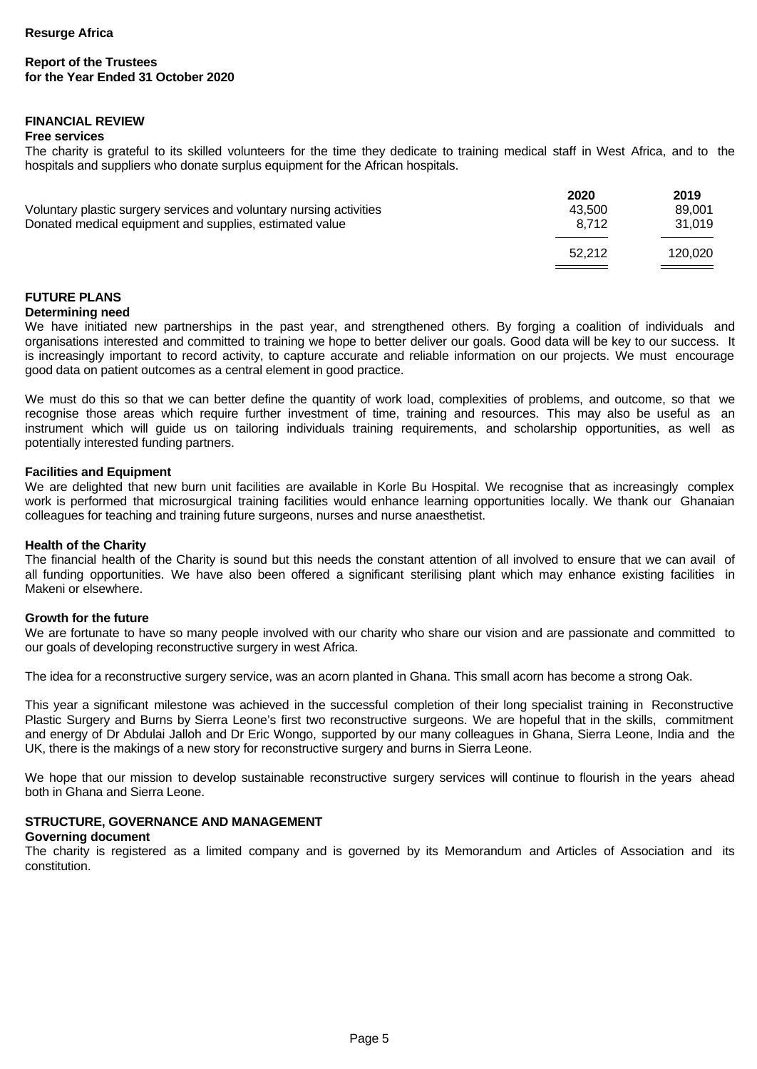# **FINANCIAL REVIEW**

#### **Free services**

The charity is grateful to its skilled volunteers for the time they dedicate to training medical staff in West Africa, and to the hospitals and suppliers who donate surplus equipment for the African hospitals.

|                                                                     | 2020   | 2019                              |
|---------------------------------------------------------------------|--------|-----------------------------------|
| Voluntary plastic surgery services and voluntary nursing activities | 43.500 | 89.001                            |
| Donated medical equipment and supplies, estimated value             | 8.712  | 31.019                            |
|                                                                     | 52.212 | 120.020                           |
|                                                                     |        | and the control of the control of |

# **FUTURE PLANS**

### **Determining need**

We have initiated new partnerships in the past year, and strengthened others. By forging a coalition of individuals and organisations interested and committed to training we hope to better deliver our goals. Good data will be key to our success. It is increasingly important to record activity, to capture accurate and reliable information on our projects. We must encourage good data on patient outcomes as a central element in good practice.

We must do this so that we can better define the quantity of work load, complexities of problems, and outcome, so that we recognise those areas which require further investment of time, training and resources. This may also be useful as an instrument which will guide us on tailoring individuals training requirements, and scholarship opportunities, as well as potentially interested funding partners.

#### **Facilities and Equipment**

We are delighted that new burn unit facilities are available in Korle Bu Hospital. We recognise that as increasingly complex work is performed that microsurgical training facilities would enhance learning opportunities locally. We thank our Ghanaian colleagues for teaching and training future surgeons, nurses and nurse anaesthetist.

#### **Health of the Charity**

The financial health of the Charity is sound but this needs the constant attention of all involved to ensure that we can avail of all funding opportunities. We have also been offered a significant sterilising plant which may enhance existing facilities in Makeni or elsewhere.

#### **Growth for the future**

We are fortunate to have so many people involved with our charity who share our vision and are passionate and committed to our goals of developing reconstructive surgery in west Africa.

The idea for a reconstructive surgery service, was an acorn planted in Ghana. This small acorn has become a strong Oak.

This year a significant milestone was achieved in the successful completion of their long specialist training in Reconstructive Plastic Surgery and Burns by Sierra Leone's first two reconstructive surgeons. We are hopeful that in the skills, commitment and energy of Dr Abdulai Jalloh and Dr Eric Wongo, supported by our many colleagues in Ghana, Sierra Leone, India and the UK, there is the makings of a new story for reconstructive surgery and burns in Sierra Leone.

We hope that our mission to develop sustainable reconstructive surgery services will continue to flourish in the years ahead both in Ghana and Sierra Leone.

#### **STRUCTURE, GOVERNANCE AND MANAGEMENT**

# **Governing document**

The charity is registered as a limited company and is governed by its Memorandum and Articles of Association and its constitution.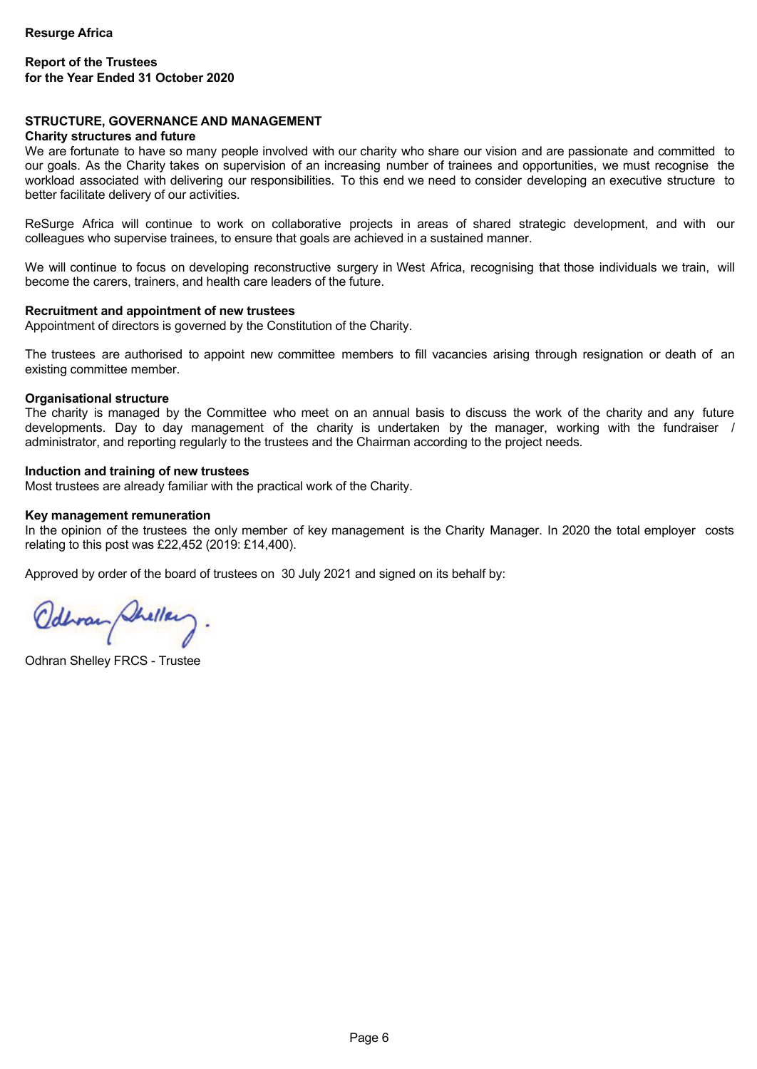#### **STRUCTURE, GOVERNANCE AND MANAGEMENT**

#### **Charity structures and future**

We are fortunate to have so many people involved with our charity who share our vision and are passionate and committed to our goals. As the Charity takes on supervision of an increasing number of trainees and opportunities, we must recognise the workload associated with delivering our responsibilities. To this end we need to consider developing an executive structure to better facilitate delivery of our activities.

ReSurge Africa will continue to work on collaborative projects in areas of shared strategic development, and with our colleagues who supervise trainees, to ensure that goals are achieved in a sustained manner.

We will continue to focus on developing reconstructive surgery in West Africa, recognising that those individuals we train, will become the carers, trainers, and health care leaders of the future.

#### **Recruitment and appointment of new trustees**

Appointment of directors is governed by the Constitution of the Charity.

The trustees are authorised to appoint new committee members to fill vacancies arising through resignation or death of an existing committee member.

#### **Organisational structure**

The charity is managed by the Committee who meet on an annual basis to discuss the work of the charity and any future developments. Day to day management of the charity is undertaken by the manager, working with the fundraiser / administrator, and reporting regularly to the trustees and the Chairman according to the project needs.

#### **Induction and training of new trustees**

Most trustees are already familiar with the practical work of the Charity.

#### **Key management remuneration**

In the opinion of the trustees the only member of key management is the Charity Manager. In 2020 the total employer costs relating to this post was £22,452 (2019: £14,400).

Approved by order of the board of trustees on 30 July 2021 and signed on its behalf by:

Odbran Shellery.

Odhran Shelley FRCS - Trustee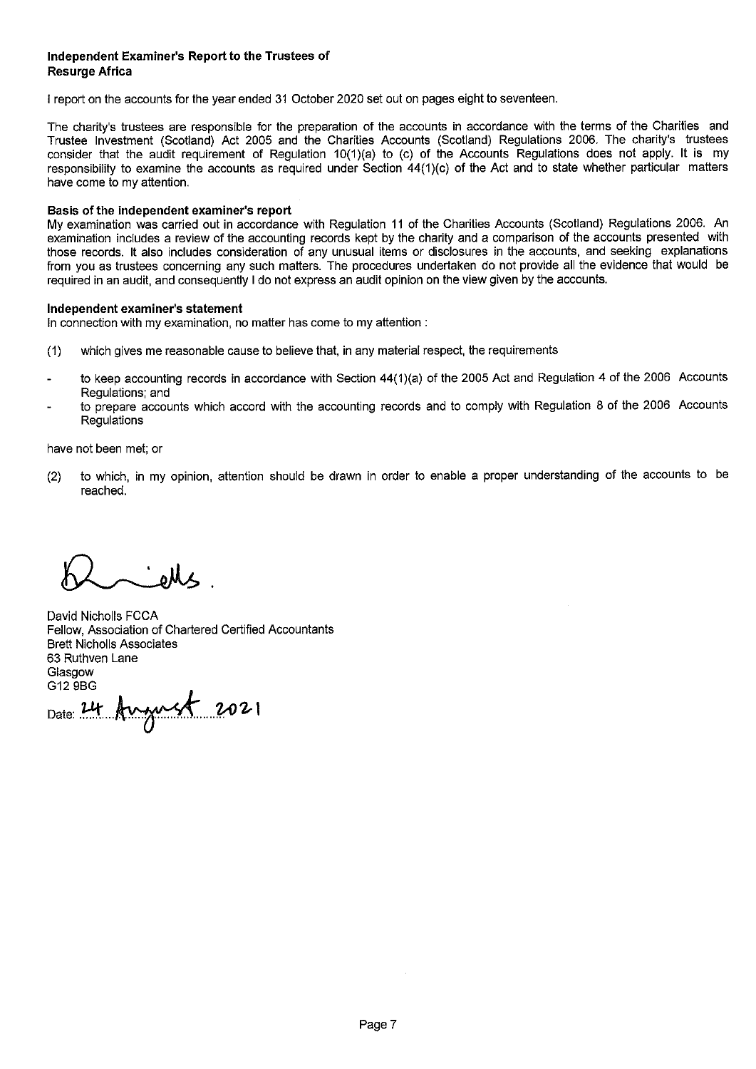### Independent Examiner's Report to the Trustees of **Resurge Africa**

I report on the accounts for the year ended 31 October 2020 set out on pages eight to seventeen.

The charity's trustees are responsible for the preparation of the accounts in accordance with the terms of the Charities and Trustee Investment (Scotland) Act 2005 and the Charities Accounts (Scotland) Regulations 2006. The charity's trustees consider that the audit requirement of Regulation 10(1)(a) to (c) of the Accounts Regulations does not apply. It is my responsibility to examine the accounts as required under Section 44(1)(c) of the Act and to state whether particular matters have come to my attention.

#### Basis of the independent examiner's report

My examination was carried out in accordance with Regulation 11 of the Charities Accounts (Scotland) Regulations 2006. An examination includes a review of the accounting records kept by the charity and a comparison of the accounts presented with those records. It also includes consideration of any unusual items or disclosures in the accounts, and seeking explanations from you as trustees concerning any such matters. The procedures undertaken do not provide all the evidence that would be required in an audit, and consequently I do not express an audit opinion on the view given by the accounts.

#### Independent examiner's statement

In connection with my examination, no matter has come to my attention :

- which gives me reasonable cause to believe that, in any material respect, the requirements  $(1)$
- to keep accounting records in accordance with Section 44(1)(a) of the 2005 Act and Regulation 4 of the 2006 Accounts Regulations: and
- to prepare accounts which accord with the accounting records and to comply with Regulation 8 of the 2006 Accounts Regulations

have not been met; or

to which, in my opinion, attention should be drawn in order to enable a proper understanding of the accounts to be  $(2)$ reached.

 $M_{\alpha}$ 

David Nicholls FCCA Fellow, Association of Chartered Certified Accountants **Brett Nicholls Associates** 63 Ruthven Lane Glasgow G12 9BG

Date: 24 August 2021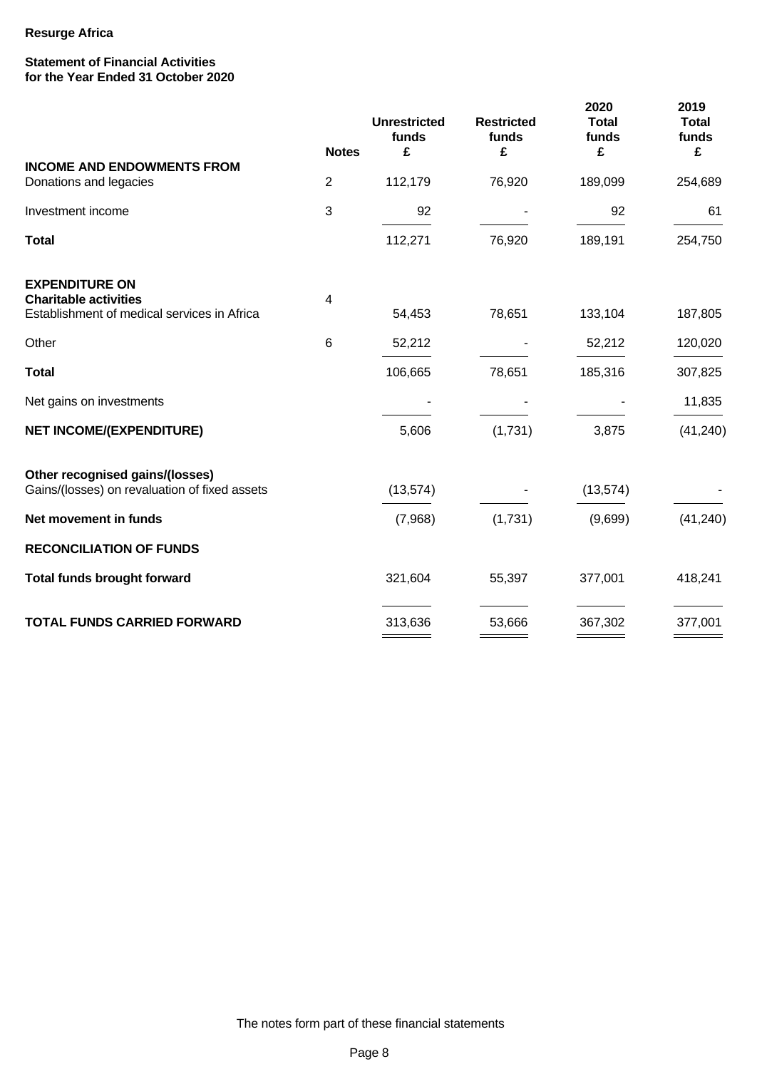#### **Statement of Financial Activities for the Year Ended 31 October 2020**

|                                                                             |                 | <b>Unrestricted</b><br>funds | <b>Restricted</b><br>funds | 2020<br><b>Total</b><br>funds | 2019<br><b>Total</b><br>funds |
|-----------------------------------------------------------------------------|-----------------|------------------------------|----------------------------|-------------------------------|-------------------------------|
| <b>INCOME AND ENDOWMENTS FROM</b>                                           | <b>Notes</b>    | £                            | £                          | £                             | £                             |
| Donations and legacies                                                      | $\overline{2}$  | 112,179                      | 76,920                     | 189,099                       | 254,689                       |
| Investment income                                                           | 3               | 92                           |                            | 92                            | 61                            |
| <b>Total</b>                                                                |                 | 112,271                      | 76,920                     | 189,191                       | 254,750                       |
| <b>EXPENDITURE ON</b>                                                       |                 |                              |                            |                               |                               |
| <b>Charitable activities</b><br>Establishment of medical services in Africa | 4               | 54,453                       | 78,651                     | 133,104                       | 187,805                       |
| Other                                                                       | $6\phantom{1}6$ | 52,212                       |                            | 52,212                        | 120,020                       |
| <b>Total</b>                                                                |                 | 106,665                      | 78,651                     | 185,316                       | 307,825                       |
| Net gains on investments                                                    |                 |                              |                            |                               | 11,835                        |
| <b>NET INCOME/(EXPENDITURE)</b>                                             |                 | 5,606                        | (1,731)                    | 3,875                         | (41, 240)                     |
| Other recognised gains/(losses)                                             |                 |                              |                            |                               |                               |
| Gains/(losses) on revaluation of fixed assets                               |                 | (13, 574)                    |                            | (13, 574)                     |                               |
| Net movement in funds                                                       |                 | (7,968)                      | (1,731)                    | (9,699)                       | (41, 240)                     |
| <b>RECONCILIATION OF FUNDS</b>                                              |                 |                              |                            |                               |                               |
| <b>Total funds brought forward</b>                                          |                 | 321,604                      | 55,397                     | 377,001                       | 418,241                       |
| <b>TOTAL FUNDS CARRIED FORWARD</b>                                          |                 | 313,636                      | 53,666                     | 367,302                       | 377,001                       |
|                                                                             |                 |                              |                            |                               |                               |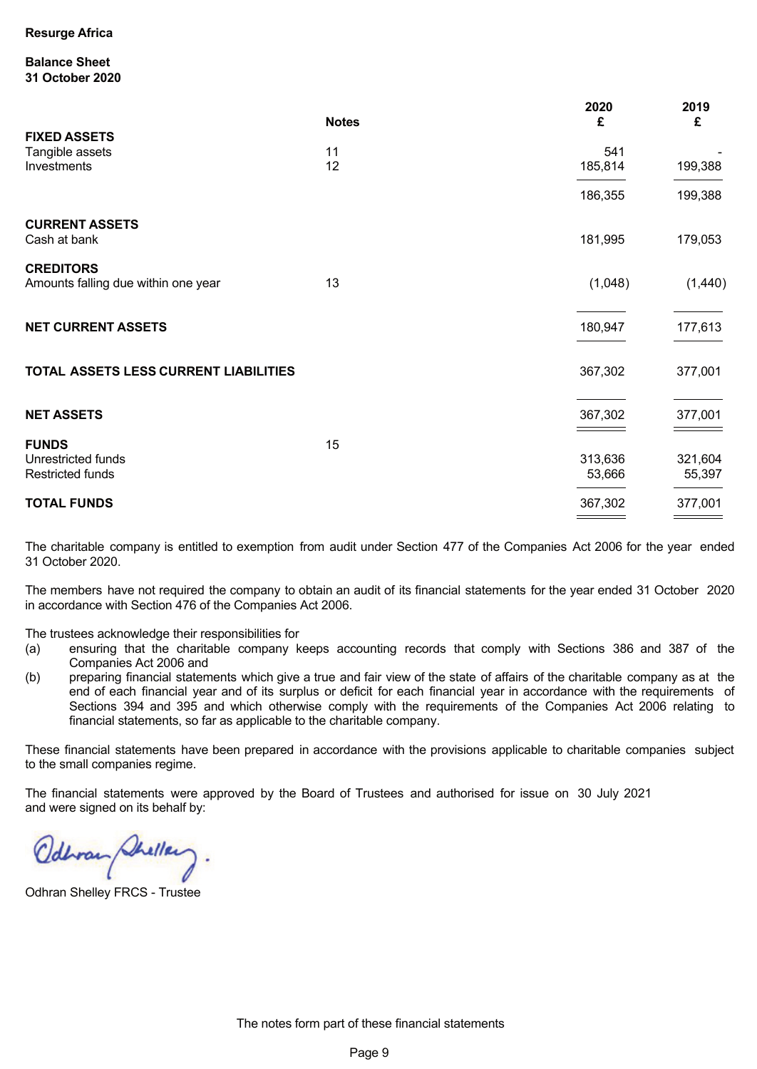#### **Balance Sheet 31 October 2020**

|                                                               | <b>Notes</b> | 2020<br>£         | 2019<br>£         |
|---------------------------------------------------------------|--------------|-------------------|-------------------|
| <b>FIXED ASSETS</b><br>Tangible assets<br>Investments         | 11<br>12     | 541<br>185,814    | 199,388           |
|                                                               |              | 186,355           | 199,388           |
| <b>CURRENT ASSETS</b><br>Cash at bank                         |              | 181,995           | 179,053           |
| <b>CREDITORS</b><br>Amounts falling due within one year       | 13           | (1,048)           | (1,440)           |
| <b>NET CURRENT ASSETS</b>                                     |              | 180,947           | 177,613           |
| TOTAL ASSETS LESS CURRENT LIABILITIES                         |              | 367,302           | 377,001           |
| <b>NET ASSETS</b>                                             |              | 367,302           | 377,001           |
| <b>FUNDS</b><br>Unrestricted funds<br><b>Restricted funds</b> | 15           | 313,636<br>53,666 | 321,604<br>55,397 |
| <b>TOTAL FUNDS</b>                                            |              | 367,302           | 377,001           |

The charitable company is entitled to exemption from audit under Section 477 of the Companies Act 2006 for the year ended 31 October 2020.

The members have not required the company to obtain an audit of its financial statements for the year ended 31 October 2020 in accordance with Section 476 of the Companies Act 2006.

The trustees acknowledge their responsibilities for

- (a) ensuring that the charitable company keeps accounting records that comply with Sections 386 and 387 of the Companies Act 2006 and
- (b) preparing financial statements which give a true and fair view of the state of affairs of the charitable company as at the end of each financial year and of its surplus or deficit for each financial year in accordance with the requirements of Sections 394 and 395 and which otherwise comply with the requirements of the Companies Act 2006 relating to financial statements, so far as applicable to the charitable company.

These financial statements have been prepared in accordance with the provisions applicable to charitable companies subject to the small companies regime.

The financial statements were approved by the Board of Trustees and authorised for issue on 30 July 2021 and were signed on its behalf by:

Odbran Shellery.

Odhran Shelley FRCS - Trustee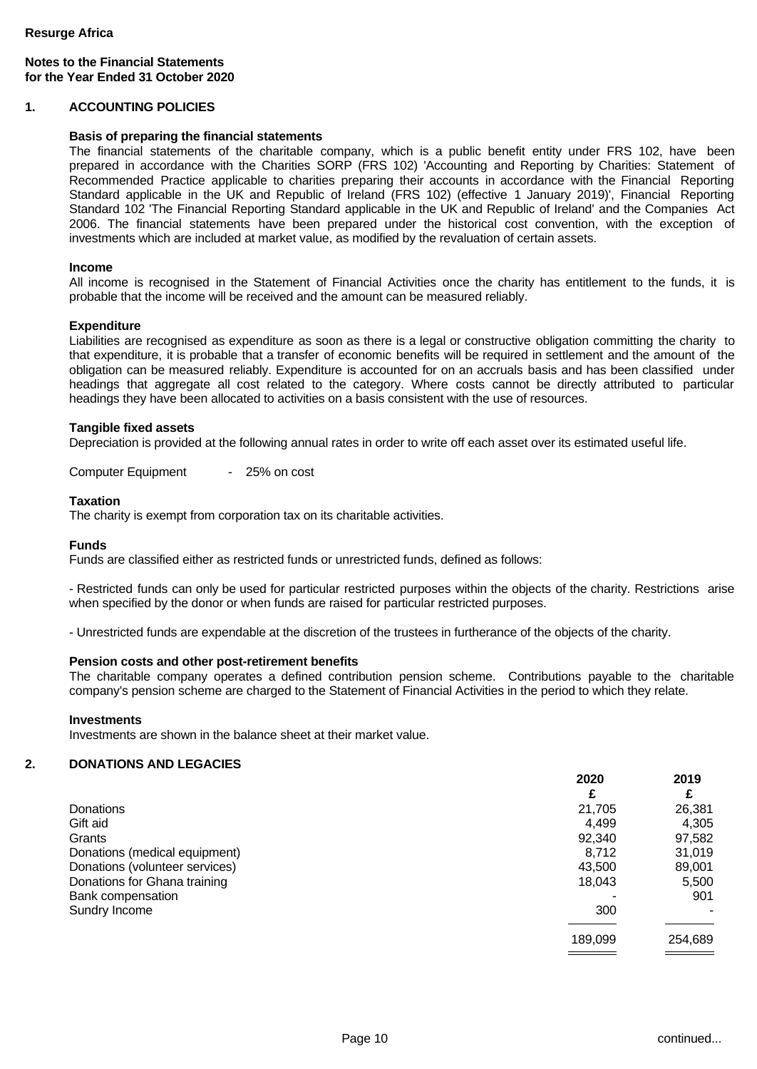# **Notes to the Financial Statements for the Year Ended 31 October 2020**

### **1. ACCOUNTING POLICIES**

#### **Basis of preparing the financial statements**

The financial statements of the charitable company, which is a public benefit entity under FRS 102, have been prepared in accordance with the Charities SORP (FRS 102) 'Accounting and Reporting by Charities: Statement of Recommended Practice applicable to charities preparing their accounts in accordance with the Financial Reporting Standard applicable in the UK and Republic of Ireland (FRS 102) (effective 1 January 2019)', Financial Reporting Standard 102 'The Financial Reporting Standard applicable in the UK and Republic of Ireland' and the Companies Act 2006. The financial statements have been prepared under the historical cost convention, with the exception of investments which are included at market value, as modified by the revaluation of certain assets.

#### **Income**

All income is recognised in the Statement of Financial Activities once the charity has entitlement to the funds, it is probable that the income will be received and the amount can be measured reliably.

#### **Expenditure**

Liabilities are recognised as expenditure as soon as there is a legal or constructive obligation committing the charity to that expenditure, it is probable that a transfer of economic benefits will be required in settlement and the amount of the obligation can be measured reliably. Expenditure is accounted for on an accruals basis and has been classified under headings that aggregate all cost related to the category. Where costs cannot be directly attributed to particular headings they have been allocated to activities on a basis consistent with the use of resources.

#### **Tangible fixed assets**

Depreciation is provided at the following annual rates in order to write off each asset over its estimated useful life.

Computer Equipment - 25% on cost

#### **Taxation**

The charity is exempt from corporation tax on its charitable activities.

#### **Funds**

Funds are classified either as restricted funds or unrestricted funds, defined as follows:

- Restricted funds can only be used for particular restricted purposes within the objects of the charity. Restrictions arise when specified by the donor or when funds are raised for particular restricted purposes.

- Unrestricted funds are expendable at the discretion of the trustees in furtherance of the objects of the charity.

#### **Pension costs and other post-retirement benefits**

The charitable company operates a defined contribution pension scheme. Contributions payable to the charitable company's pension scheme are charged to the Statement of Financial Activities in the period to which they relate.

#### **Investments**

Investments are shown in the balance sheet at their market value.

# **2. DONATIONS AND LEGACIES**

|                                | 2020    | 2019    |
|--------------------------------|---------|---------|
|                                | £       | £       |
| Donations                      | 21,705  | 26,381  |
| Gift aid                       | 4,499   | 4,305   |
| Grants                         | 92,340  | 97,582  |
| Donations (medical equipment)  | 8,712   | 31.019  |
| Donations (volunteer services) | 43,500  | 89,001  |
| Donations for Ghana training   | 18,043  | 5,500   |
| Bank compensation              |         | 901     |
| Sundry Income                  | 300     | -       |
|                                | 189,099 | 254,689 |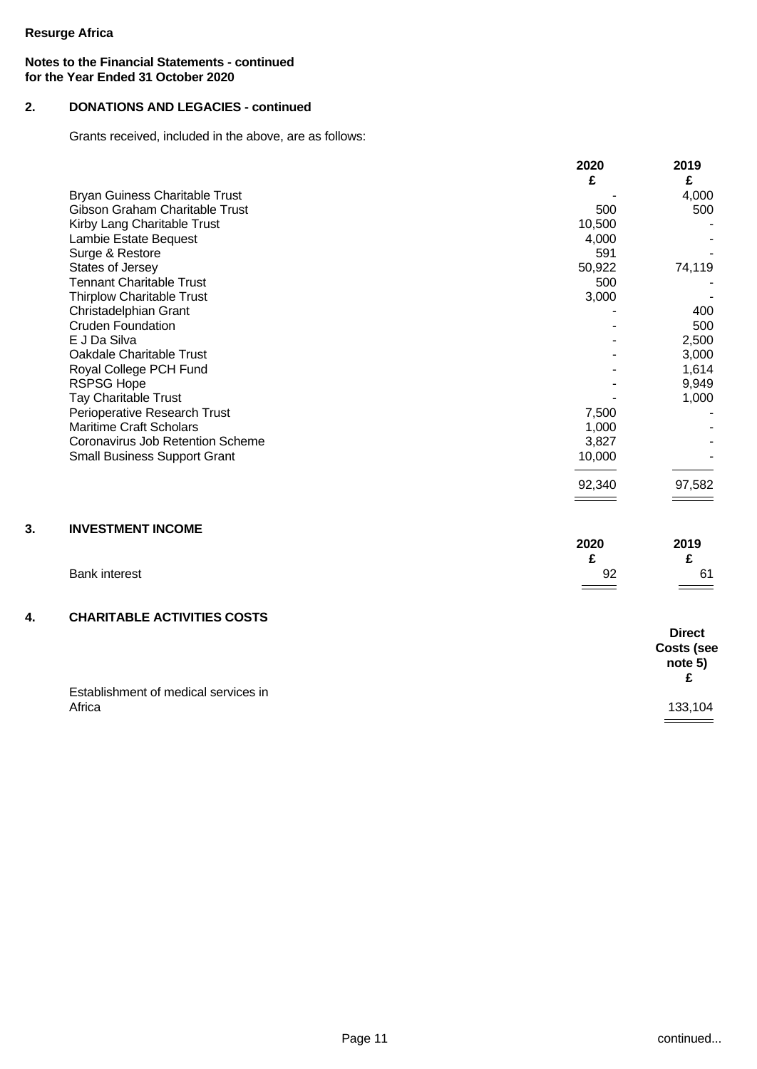# **Notes to the Financial Statements - continued for the Year Ended 31 October 2020**

# **2. DONATIONS AND LEGACIES - continued**

Grants received, included in the above, are as follows:

|                                       | 2020   | 2019          |
|---------------------------------------|--------|---------------|
|                                       | £      | £             |
| <b>Bryan Guiness Charitable Trust</b> |        | 4,000         |
| Gibson Graham Charitable Trust        | 500    | 500           |
| Kirby Lang Charitable Trust           | 10,500 |               |
| Lambie Estate Bequest                 | 4,000  |               |
| Surge & Restore                       | 591    |               |
| States of Jersey                      | 50,922 | 74,119        |
| <b>Tennant Charitable Trust</b>       | 500    |               |
| <b>Thirplow Charitable Trust</b>      | 3,000  |               |
| Christadelphian Grant                 |        | 400           |
| <b>Cruden Foundation</b>              |        | 500           |
| E J Da Silva                          |        | 2,500         |
| Oakdale Charitable Trust              |        | 3,000         |
| Royal College PCH Fund                |        | 1,614         |
| <b>RSPSG Hope</b>                     |        | 9,949         |
| Tay Charitable Trust                  |        | 1,000         |
| Perioperative Research Trust          | 7,500  |               |
| <b>Maritime Craft Scholars</b>        | 1,000  |               |
| Coronavirus Job Retention Scheme      | 3,827  |               |
| <b>Small Business Support Grant</b>   | 10,000 |               |
|                                       |        |               |
|                                       | 92,340 | 97,582        |
|                                       |        |               |
|                                       |        |               |
| <b>INVESTMENT INCOME</b>              |        |               |
|                                       | 2020   | 2019          |
|                                       | £      | £             |
| <b>Bank interest</b>                  | 92     | 61            |
|                                       |        |               |
| <b>CHARITABLE ACTIVITIES COSTS</b>    |        |               |
|                                       |        | <b>Direct</b> |
|                                       |        | Costs (see    |
|                                       |        | note 5)       |
|                                       |        | £             |
| Establishment of medical services in  |        |               |
| Africa                                |        | 133,104       |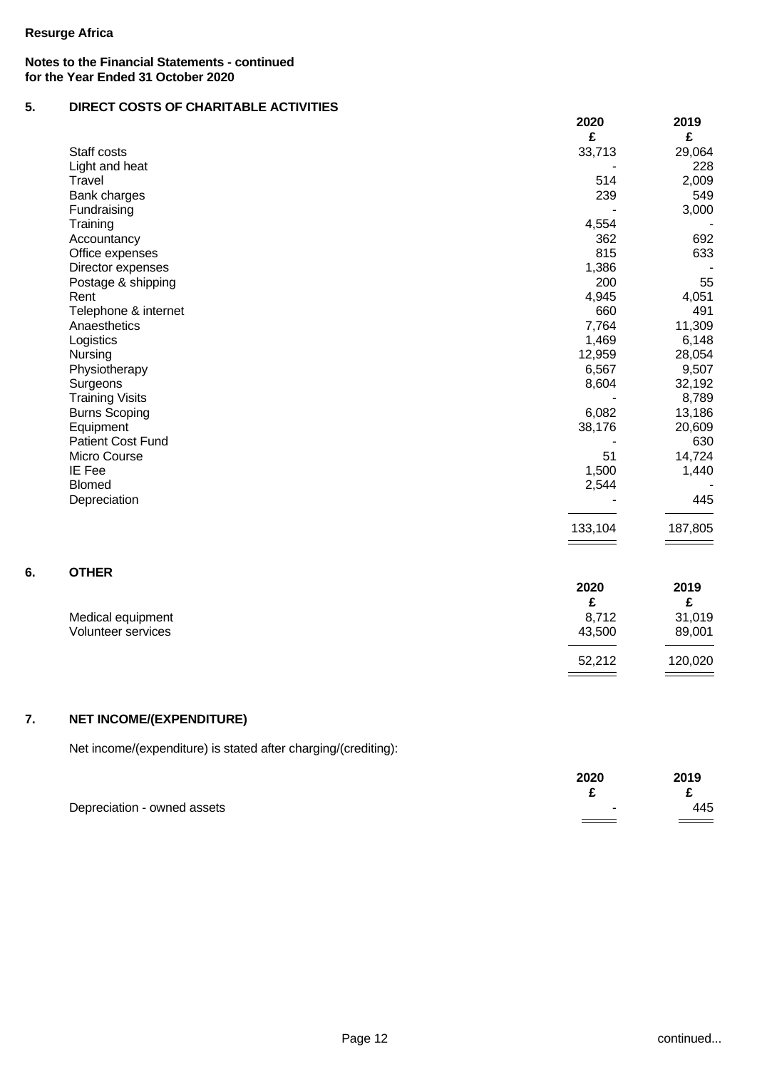# **Notes to the Financial Statements - continued for the Year Ended 31 October 2020**

# **5. DIRECT COSTS OF CHARITABLE ACTIVITIES**

|                        | 2020    | 2019    |
|------------------------|---------|---------|
|                        | £       | £       |
| Staff costs            | 33,713  | 29,064  |
| Light and heat         |         | 228     |
| Travel                 | 514     | 2,009   |
| Bank charges           | 239     | 549     |
| Fundraising            |         | 3,000   |
| Training               | 4,554   |         |
| Accountancy            | 362     | 692     |
| Office expenses        | 815     | 633     |
| Director expenses      | 1,386   |         |
| Postage & shipping     | 200     | 55      |
| Rent                   | 4,945   | 4,051   |
| Telephone & internet   | 660     | 491     |
| Anaesthetics           | 7,764   | 11,309  |
| Logistics              | 1,469   | 6,148   |
| Nursing                | 12,959  | 28,054  |
| Physiotherapy          | 6,567   | 9,507   |
| Surgeons               | 8,604   | 32,192  |
| <b>Training Visits</b> |         | 8,789   |
| <b>Burns Scoping</b>   | 6,082   | 13,186  |
| Equipment              | 38,176  | 20,609  |
| Patient Cost Fund      |         | 630     |
| Micro Course           | 51      | 14,724  |
| IE Fee                 | 1,500   | 1,440   |
| <b>Blomed</b>          | 2,544   |         |
| Depreciation           |         | 445     |
|                        | 133,104 | 187,805 |

# **6. OTHER**

|                    | 2020                                | 2019    |
|--------------------|-------------------------------------|---------|
|                    | £                                   | c       |
| Medical equipment  | 8,712                               | 31,019  |
| Volunteer services | 43,500                              | 89,001  |
|                    |                                     |         |
|                    | 52,212                              | 120,020 |
|                    | $\equiv$ $\equiv$ $\equiv$ $\equiv$ |         |

# **7. NET INCOME/(EXPENDITURE)**

Net income/(expenditure) is stated after charging/(crediting):

|                             | 2020 | 2019 |
|-----------------------------|------|------|
|                             |      |      |
| Depreciation - owned assets | -    | 445  |
|                             |      |      |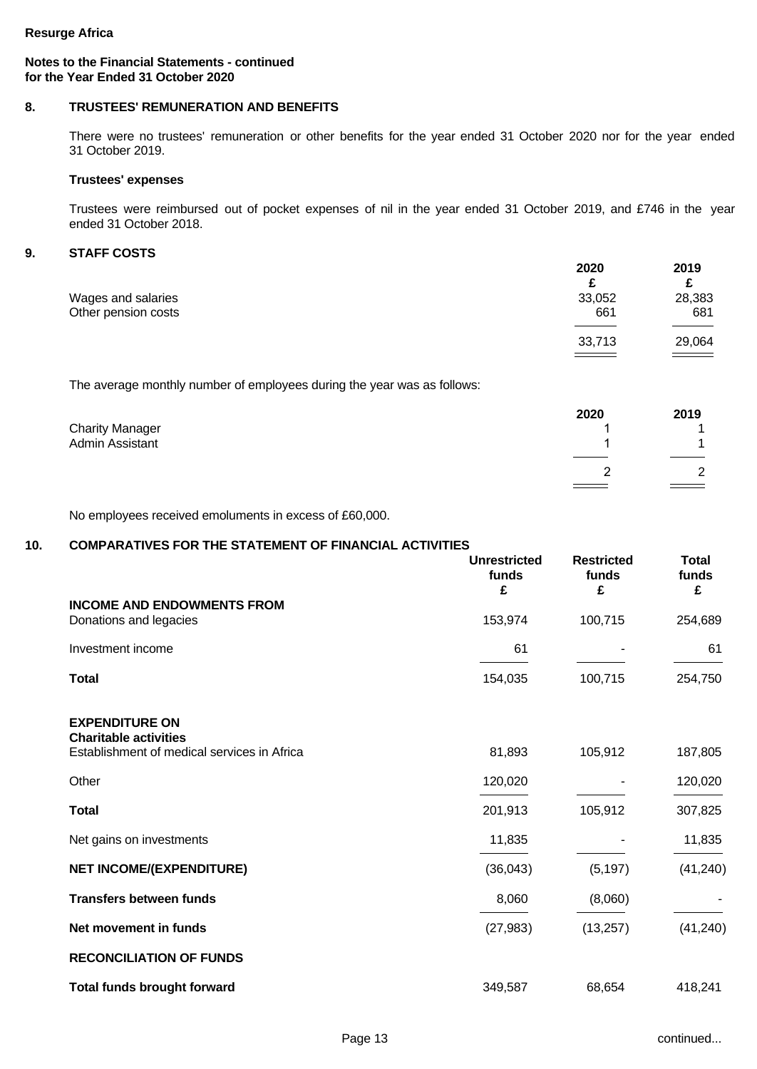# **Notes to the Financial Statements - continued for the Year Ended 31 October 2020**

# **8. TRUSTEES' REMUNERATION AND BENEFITS**

There were no trustees' remuneration or other benefits for the year ended 31 October 2020 nor for the year ended 31 October 2019.

#### **Trustees' expenses**

Trustees were reimbursed out of pocket expenses of nil in the year ended 31 October 2019, and £746 in the year ended 31 October 2018.

# **9. STAFF COSTS**

|                     | 2020   | 2019               |
|---------------------|--------|--------------------|
|                     | £      |                    |
| Wages and salaries  | 33,052 | 28,383             |
| Other pension costs | 661    | 681                |
|                     |        |                    |
|                     | 33,713 | 29,064             |
|                     | ====   | <u>a serika da</u> |

The average monthly number of employees during the year was as follows:

|                        | 2020    | 2019        |
|------------------------|---------|-------------|
| <b>Charity Manager</b> |         |             |
| Admin Assistant        |         |             |
|                        |         |             |
|                        | _       | $\sim$<br>_ |
|                        | $=$ $=$ |             |

No employees received emoluments in excess of £60,000.

# **10. COMPARATIVES FOR THE STATEMENT OF FINANCIAL ACTIVITIES**

|                                                                             | <b>Unrestricted</b><br>funds<br>£ | <b>Restricted</b><br>funds<br>£ | <b>Total</b><br>funds<br>£ |
|-----------------------------------------------------------------------------|-----------------------------------|---------------------------------|----------------------------|
| <b>INCOME AND ENDOWMENTS FROM</b>                                           |                                   |                                 |                            |
| Donations and legacies                                                      | 153,974                           | 100,715                         | 254,689                    |
| Investment income                                                           | 61                                |                                 | 61                         |
| <b>Total</b>                                                                | 154,035                           | 100,715                         | 254,750                    |
| <b>EXPENDITURE ON</b>                                                       |                                   |                                 |                            |
| <b>Charitable activities</b><br>Establishment of medical services in Africa | 81,893                            | 105,912                         | 187,805                    |
| Other                                                                       | 120,020                           |                                 | 120,020                    |
| <b>Total</b>                                                                | 201,913                           | 105,912                         | 307,825                    |
| Net gains on investments                                                    | 11,835                            |                                 | 11,835                     |
| <b>NET INCOME/(EXPENDITURE)</b>                                             | (36,043)                          | (5, 197)                        | (41, 240)                  |
| <b>Transfers between funds</b>                                              | 8,060                             | (8,060)                         |                            |
| Net movement in funds                                                       | (27, 983)                         | (13, 257)                       | (41, 240)                  |
| <b>RECONCILIATION OF FUNDS</b>                                              |                                   |                                 |                            |
| <b>Total funds brought forward</b>                                          | 349,587                           | 68,654                          | 418,241                    |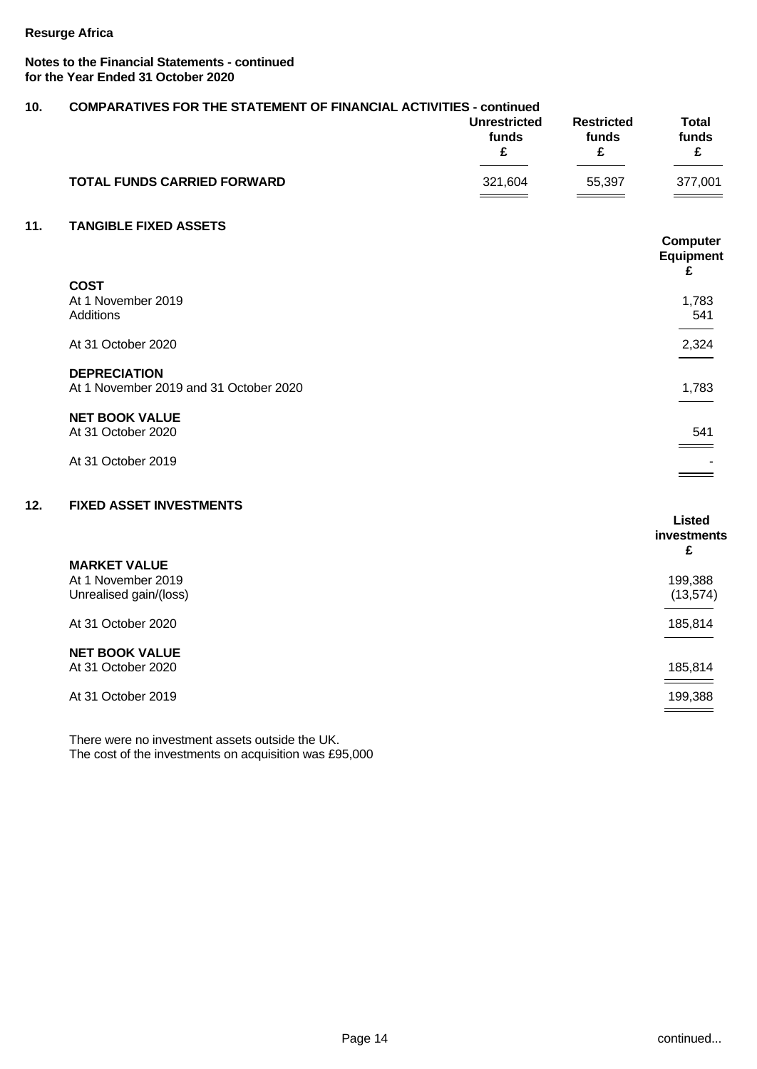# **Notes to the Financial Statements - continued for the Year Ended 31 October 2020**

| 10. | <b>COMPARATIVES FOR THE STATEMENT OF FINANCIAL ACTIVITIES - continued</b> |                                   |                                 |                            |
|-----|---------------------------------------------------------------------------|-----------------------------------|---------------------------------|----------------------------|
|     |                                                                           | <b>Unrestricted</b><br>funds<br>£ | <b>Restricted</b><br>funds<br>£ | <b>Total</b><br>funds<br>£ |
|     | <b>TOTAL FUNDS CARRIED FORWARD</b>                                        | 321,604                           | 55,397                          | 377,001                    |
| 11. | <b>TANGIBLE FIXED ASSETS</b>                                              |                                   |                                 |                            |
|     |                                                                           |                                   |                                 | Computer<br>Equipment<br>£ |
|     | <b>COST</b>                                                               |                                   |                                 |                            |
|     | At 1 November 2019                                                        |                                   |                                 | 1,783                      |
|     | Additions                                                                 |                                   |                                 | 541                        |
|     | At 31 October 2020                                                        |                                   |                                 | 2,324                      |
|     | <b>DEPRECIATION</b>                                                       |                                   |                                 |                            |
|     | At 1 November 2019 and 31 October 2020                                    |                                   |                                 | 1,783                      |
|     | <b>NET BOOK VALUE</b>                                                     |                                   |                                 |                            |
|     | At 31 October 2020                                                        |                                   |                                 | 541                        |
|     | At 31 October 2019                                                        |                                   |                                 |                            |
|     |                                                                           |                                   |                                 |                            |
| 12. | <b>FIXED ASSET INVESTMENTS</b>                                            |                                   |                                 |                            |
|     |                                                                           |                                   |                                 | <b>Listed</b>              |
|     |                                                                           |                                   |                                 | investments<br>£           |
|     | <b>MARKET VALUE</b>                                                       |                                   |                                 |                            |
|     | At 1 November 2019                                                        |                                   |                                 | 199,388                    |
|     | Unrealised gain/(loss)                                                    |                                   |                                 | (13, 574)                  |
|     | At 31 October 2020                                                        |                                   |                                 | 185,814                    |
|     | <b>NET BOOK VALUE</b>                                                     |                                   |                                 |                            |
|     | At 31 October 2020                                                        |                                   |                                 | 185,814                    |
|     | At 31 October 2019                                                        |                                   |                                 | 199,388                    |
|     |                                                                           |                                   |                                 |                            |

There were no investment assets outside the UK. The cost of the investments on acquisition was £95,000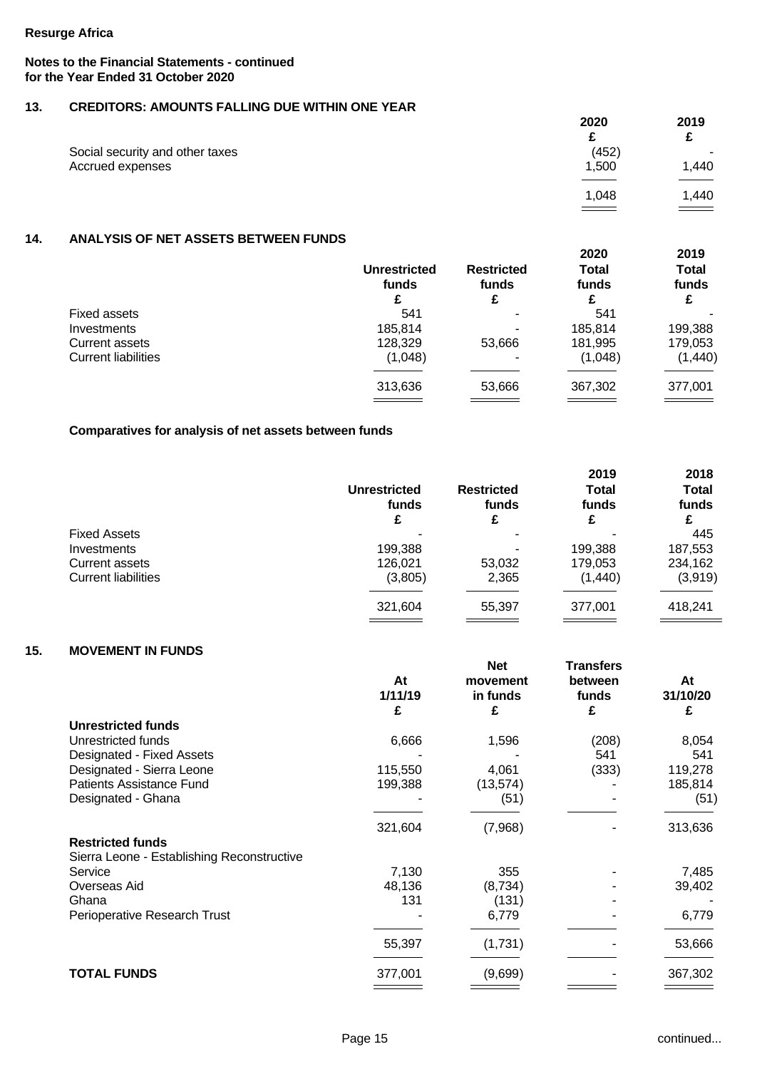# **Notes to the Financial Statements - continued for the Year Ended 31 October 2020**

# **13. CREDITORS: AMOUNTS FALLING DUE WITHIN ONE YEAR**

|                                 | 2020  | 2019  |
|---------------------------------|-------|-------|
|                                 |       |       |
| Social security and other taxes | (452) | т.    |
| Accrued expenses                | 1,500 | 1,440 |
|                                 |       |       |
|                                 | 1,048 | 1,440 |
|                                 |       |       |

### **14. ANALYSIS OF NET ASSETS BETWEEN FUNDS**

|                            | <b>Unrestricted</b><br>funds | <b>Restricted</b><br>funds | 2020<br><b>Total</b><br>funds | 2019<br><b>Total</b><br>funds |
|----------------------------|------------------------------|----------------------------|-------------------------------|-------------------------------|
|                            | £                            |                            |                               | £                             |
| Fixed assets               | 541                          | $\sim$                     | 541                           |                               |
| Investments                | 185,814                      | $\overline{\phantom{0}}$   | 185,814                       | 199,388                       |
| Current assets             | 128,329                      | 53,666                     | 181,995                       | 179,053                       |
| <b>Current liabilities</b> | (1,048)                      | $\overline{\phantom{0}}$   | (1,048)                       | (1,440)                       |
|                            | 313,636                      | 53,666                     | 367,302                       | 377,001                       |
|                            |                              |                            |                               |                               |

## **Comparatives for analysis of net assets between funds**

| 2018<br><b>Total</b><br>funds<br>£ |
|------------------------------------|
|                                    |
| 445                                |
| 187,553                            |
| 234,162                            |
| (3,919)                            |
| 418,241                            |
|                                    |

# **15. MOVEMENT IN FUNDS**

|                                            | At<br>1/11/19 | <b>Net</b><br>movement<br>in funds | Transfers<br>between<br>funds | At<br>31/10/20 |
|--------------------------------------------|---------------|------------------------------------|-------------------------------|----------------|
|                                            | £             | £                                  | £                             | £              |
| <b>Unrestricted funds</b>                  |               |                                    |                               |                |
| Unrestricted funds                         | 6,666         | 1,596                              | (208)                         | 8,054          |
| Designated - Fixed Assets                  |               |                                    | 541                           | 541            |
| Designated - Sierra Leone                  | 115,550       | 4,061                              | (333)                         | 119,278        |
| <b>Patients Assistance Fund</b>            | 199,388       | (13, 574)                          |                               | 185,814        |
| Designated - Ghana                         |               | (51)                               |                               | (51)           |
|                                            | 321,604       | (7,968)                            |                               | 313,636        |
| <b>Restricted funds</b>                    |               |                                    |                               |                |
| Sierra Leone - Establishing Reconstructive |               |                                    |                               |                |
| Service                                    | 7,130         | 355                                |                               | 7,485          |
| Overseas Aid                               | 48,136        | (8,734)                            |                               | 39,402         |
| Ghana                                      | 131           | (131)                              |                               |                |
| Perioperative Research Trust               |               | 6,779                              |                               | 6,779          |
|                                            | 55,397        | (1,731)                            |                               | 53,666         |
| <b>TOTAL FUNDS</b>                         | 377,001       | (9,699)                            |                               | 367,302        |
|                                            |               |                                    |                               |                |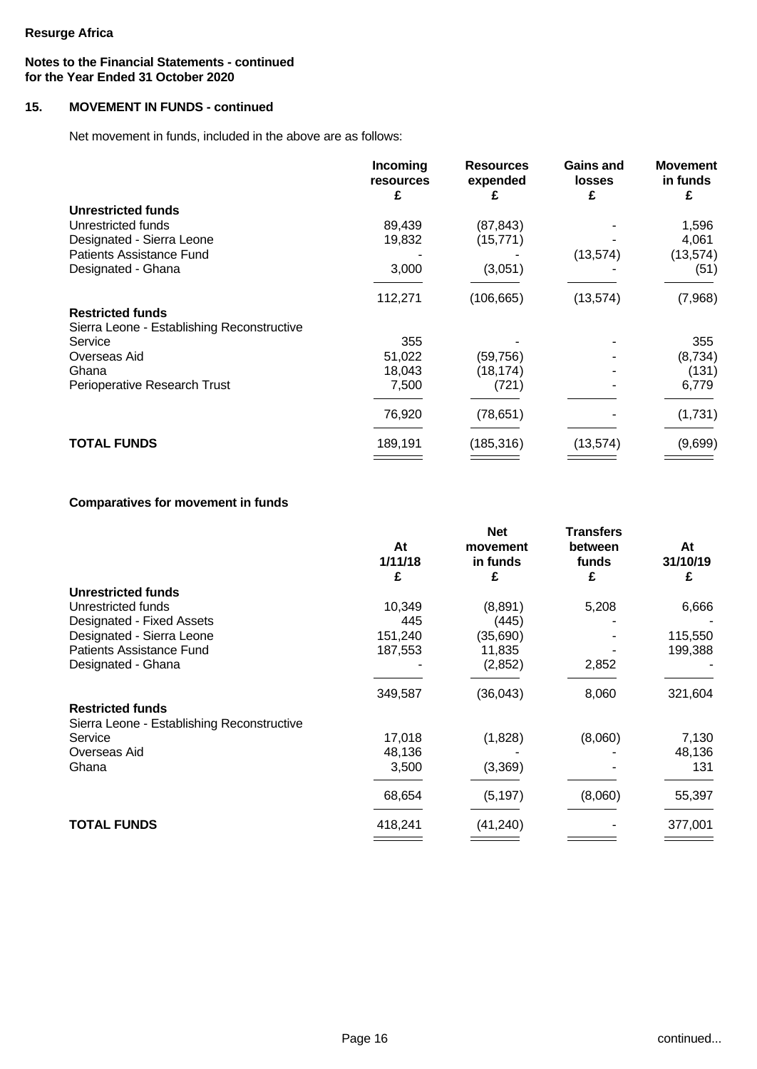# **Notes to the Financial Statements - continued for the Year Ended 31 October 2020**

# **15. MOVEMENT IN FUNDS - continued**

Net movement in funds, included in the above are as follows:

|                                            | Incoming<br><b>resources</b> | <b>Resources</b><br>expended | <b>Gains and</b><br><b>losses</b> | <b>Movement</b><br>in funds |
|--------------------------------------------|------------------------------|------------------------------|-----------------------------------|-----------------------------|
|                                            | £                            |                              | £                                 | £                           |
| <b>Unrestricted funds</b>                  |                              |                              |                                   |                             |
| Unrestricted funds                         | 89,439                       | (87, 843)                    |                                   | 1,596                       |
| Designated - Sierra Leone                  | 19,832                       | (15, 771)                    |                                   | 4,061                       |
| <b>Patients Assistance Fund</b>            |                              |                              | (13, 574)                         | (13, 574)                   |
| Designated - Ghana                         | 3,000                        | (3,051)                      |                                   | (51)                        |
|                                            | 112,271                      | (106, 665)                   | (13, 574)                         | (7,968)                     |
| <b>Restricted funds</b>                    |                              |                              |                                   |                             |
| Sierra Leone - Establishing Reconstructive |                              |                              |                                   |                             |
| Service                                    | 355                          |                              |                                   | 355                         |
| Overseas Aid                               | 51,022                       | (59, 756)                    |                                   | (8,734)                     |
| Ghana                                      | 18,043                       | (18, 174)                    |                                   | (131)                       |
| Perioperative Research Trust               | 7,500                        | (721)                        |                                   | 6,779                       |
|                                            | 76,920                       | (78, 651)                    |                                   | (1,731)                     |
| <b>TOTAL FUNDS</b>                         | 189,191                      | (185, 316)                   | (13, 574)                         | (9,699)                     |
|                                            |                              |                              |                                   |                             |

# **Comparatives for movement in funds**

|                                            |               | <b>Net</b>                | Transfers             |                     |
|--------------------------------------------|---------------|---------------------------|-----------------------|---------------------|
|                                            | At<br>1/11/18 | movement<br>in funds<br>£ | between<br>funds<br>£ | At<br>31/10/19<br>£ |
|                                            | £             |                           |                       |                     |
| <b>Unrestricted funds</b>                  |               |                           |                       |                     |
| Unrestricted funds                         | 10,349        | (8,891)                   | 5,208                 | 6,666               |
| Designated - Fixed Assets                  | 445           | (445)                     |                       |                     |
| Designated - Sierra Leone                  | 151,240       | (35, 690)                 |                       | 115,550             |
| Patients Assistance Fund                   | 187,553       | 11,835                    |                       | 199,388             |
| Designated - Ghana                         |               | (2,852)                   | 2,852                 |                     |
|                                            | 349,587       | (36,043)                  | 8,060                 | 321,604             |
| <b>Restricted funds</b>                    |               |                           |                       |                     |
| Sierra Leone - Establishing Reconstructive |               |                           |                       |                     |
| Service                                    | 17,018        | (1,828)                   | (8,060)               | 7,130               |
| Overseas Aid                               | 48,136        |                           |                       | 48,136              |
| Ghana                                      | 3,500         | (3,369)                   |                       | 131                 |
|                                            | 68,654        | (5, 197)                  | (8,060)               | 55,397              |
|                                            |               |                           |                       |                     |
| <b>TOTAL FUNDS</b>                         | 418,241       | (41, 240)                 |                       | 377,001             |
|                                            |               |                           |                       |                     |